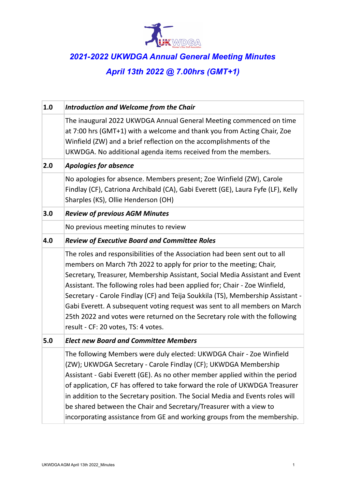

## *2021-2022 UKWDGA Annual General Meeting Minutes April 13th 2022 @ 7.00hrs (GMT+1)*

| 1.0 | <b>Introduction and Welcome from the Chair</b>                                                                                                                                                                                                                                                                                                                                                                                                                                                                                                                                                        |
|-----|-------------------------------------------------------------------------------------------------------------------------------------------------------------------------------------------------------------------------------------------------------------------------------------------------------------------------------------------------------------------------------------------------------------------------------------------------------------------------------------------------------------------------------------------------------------------------------------------------------|
|     | The inaugural 2022 UKWDGA Annual General Meeting commenced on time<br>at 7:00 hrs (GMT+1) with a welcome and thank you from Acting Chair, Zoe<br>Winfield (ZW) and a brief reflection on the accomplishments of the<br>UKWDGA. No additional agenda items received from the members.                                                                                                                                                                                                                                                                                                                  |
| 2.0 | <b>Apologies for absence</b>                                                                                                                                                                                                                                                                                                                                                                                                                                                                                                                                                                          |
|     | No apologies for absence. Members present; Zoe Winfield (ZW), Carole<br>Findlay (CF), Catriona Archibald (CA), Gabi Everett (GE), Laura Fyfe (LF), Kelly<br>Sharples (KS), Ollie Henderson (OH)                                                                                                                                                                                                                                                                                                                                                                                                       |
| 3.0 | <b>Review of previous AGM Minutes</b>                                                                                                                                                                                                                                                                                                                                                                                                                                                                                                                                                                 |
|     | No previous meeting minutes to review                                                                                                                                                                                                                                                                                                                                                                                                                                                                                                                                                                 |
| 4.0 | <b>Review of Executive Board and Committee Roles</b>                                                                                                                                                                                                                                                                                                                                                                                                                                                                                                                                                  |
|     | The roles and responsibilities of the Association had been sent out to all<br>members on March 7th 2022 to apply for prior to the meeting; Chair,<br>Secretary, Treasurer, Membership Assistant, Social Media Assistant and Event<br>Assistant. The following roles had been applied for; Chair - Zoe Winfield,<br>Secretary - Carole Findlay (CF) and Teija Soukkila (TS), Membership Assistant -<br>Gabi Everett. A subsequent voting request was sent to all members on March<br>25th 2022 and votes were returned on the Secretary role with the following<br>result - CF: 20 votes, TS: 4 votes. |
| 5.0 | <b>Elect new Board and Committee Members</b>                                                                                                                                                                                                                                                                                                                                                                                                                                                                                                                                                          |
|     | The following Members were duly elected: UKWDGA Chair - Zoe Winfield<br>(ZW); UKWDGA Secretary - Carole Findlay (CF); UKWDGA Membership<br>Assistant - Gabi Everett (GE). As no other member applied within the period<br>of application, CF has offered to take forward the role of UKWDGA Treasurer<br>in addition to the Secretary position. The Social Media and Events roles will<br>be shared between the Chair and Secretary/Treasurer with a view to<br>incorporating assistance from GE and working groups from the membership.                                                              |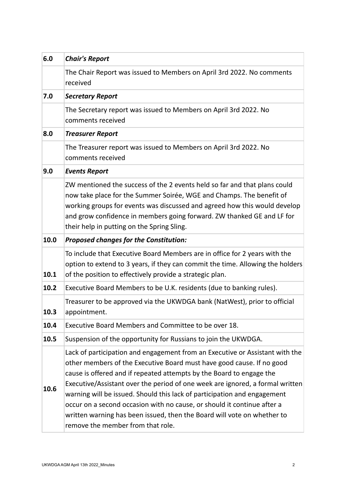| 6.0  | <b>Chair's Report</b>                                                                                                                                                                                                                                                                                                                                                                                                                                                                                                                                                                 |
|------|---------------------------------------------------------------------------------------------------------------------------------------------------------------------------------------------------------------------------------------------------------------------------------------------------------------------------------------------------------------------------------------------------------------------------------------------------------------------------------------------------------------------------------------------------------------------------------------|
|      | The Chair Report was issued to Members on April 3rd 2022. No comments<br>received                                                                                                                                                                                                                                                                                                                                                                                                                                                                                                     |
| 7.0  | <b>Secretary Report</b>                                                                                                                                                                                                                                                                                                                                                                                                                                                                                                                                                               |
|      | The Secretary report was issued to Members on April 3rd 2022. No<br>comments received                                                                                                                                                                                                                                                                                                                                                                                                                                                                                                 |
| 8.0  | <b>Treasurer Report</b>                                                                                                                                                                                                                                                                                                                                                                                                                                                                                                                                                               |
|      | The Treasurer report was issued to Members on April 3rd 2022. No<br>comments received                                                                                                                                                                                                                                                                                                                                                                                                                                                                                                 |
| 9.0  | <b>Events Report</b>                                                                                                                                                                                                                                                                                                                                                                                                                                                                                                                                                                  |
|      | ZW mentioned the success of the 2 events held so far and that plans could<br>now take place for the Summer Soirée, WGE and Champs. The benefit of<br>working groups for events was discussed and agreed how this would develop<br>and grow confidence in members going forward. ZW thanked GE and LF for<br>their help in putting on the Spring Sling.                                                                                                                                                                                                                                |
| 10.0 | <b>Proposed changes for the Constitution:</b>                                                                                                                                                                                                                                                                                                                                                                                                                                                                                                                                         |
| 10.1 | To include that Executive Board Members are in office for 2 years with the<br>option to extend to 3 years, if they can commit the time. Allowing the holders<br>of the position to effectively provide a strategic plan.                                                                                                                                                                                                                                                                                                                                                              |
| 10.2 | Executive Board Members to be U.K. residents (due to banking rules).                                                                                                                                                                                                                                                                                                                                                                                                                                                                                                                  |
| 10.3 | Treasurer to be approved via the UKWDGA bank (NatWest), prior to official<br>appointment.                                                                                                                                                                                                                                                                                                                                                                                                                                                                                             |
| 10.4 | Executive Board Members and Committee to be over 18.                                                                                                                                                                                                                                                                                                                                                                                                                                                                                                                                  |
| 10.5 | Suspension of the opportunity for Russians to join the UKWDGA.                                                                                                                                                                                                                                                                                                                                                                                                                                                                                                                        |
| 10.6 | Lack of participation and engagement from an Executive or Assistant with the<br>other members of the Executive Board must have good cause. If no good<br>cause is offered and if repeated attempts by the Board to engage the<br>Executive/Assistant over the period of one week are ignored, a formal written<br>warning will be issued. Should this lack of participation and engagement<br>occur on a second occasion with no cause, or should it continue after a<br>written warning has been issued, then the Board will vote on whether to<br>remove the member from that role. |